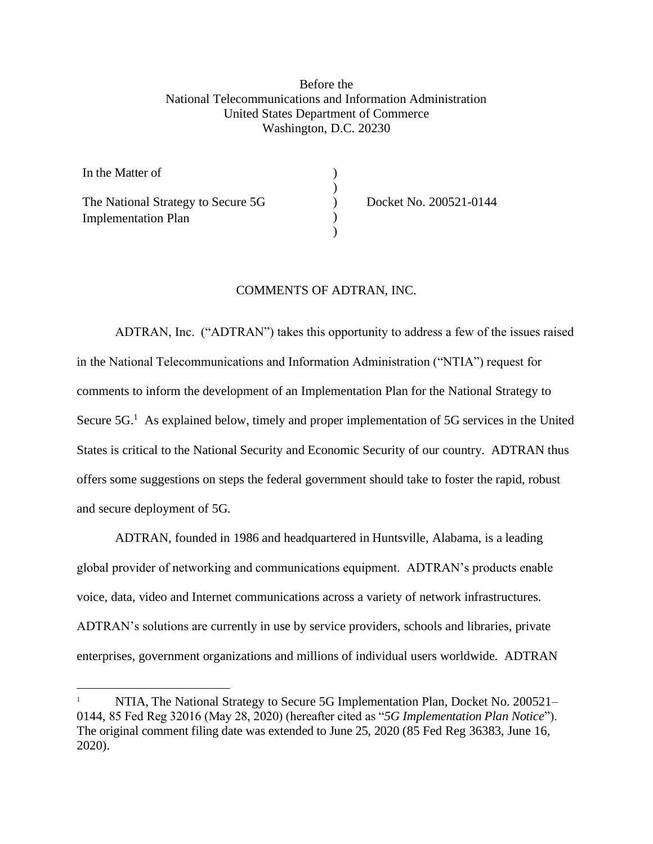## Before the National Telecommunications and Information Administration United States Department of Commerce Washington, D.C. 20230

| In the Matter of                   |          |
|------------------------------------|----------|
|                                    |          |
| The National Strategy to Secure 5G | $\Omega$ |
| <b>Implementation Plan</b>         |          |
|                                    |          |

cket No. 200521-0144

## COMMENTS OF ADTRAN, INC.

ADTRAN, Inc. ("ADTRAN") takes this opportunity to address a few of the issues raised in the National Telecommunications and Information Administration ("NTIA") request for comments to inform the development of an Implementation Plan for the National Strategy to Secure  $5G<sup>1</sup>$  As explained below, timely and proper implementation of  $5G$  services in the United States is critical to the National Security and Economic Security of our country. ADTRAN thus offers some suggestions on steps the federal government should take to foster the rapid, robust and secure deployment of 5G.

ADTRAN, founded in 1986 and headquartered in Huntsville, Alabama, is a leading global provider of networking and communications equipment. ADTRAN's products enable voice, data, video and Internet communications across a variety of network infrastructures. ADTRAN's solutions are currently in use by service providers, schools and libraries, private enterprises, government organizations and millions of individual users worldwide. ADTRAN

<sup>1</sup> NTIA, The National Strategy to Secure 5G Implementation Plan, Docket No. 200521– 0144, 85 Fed Reg 32016 (May 28, 2020) (hereafter cited as "*5G Implementation Plan Notice*"). The original comment filing date was extended to June 25, 2020 (85 Fed Reg 36383, June 16, 2020).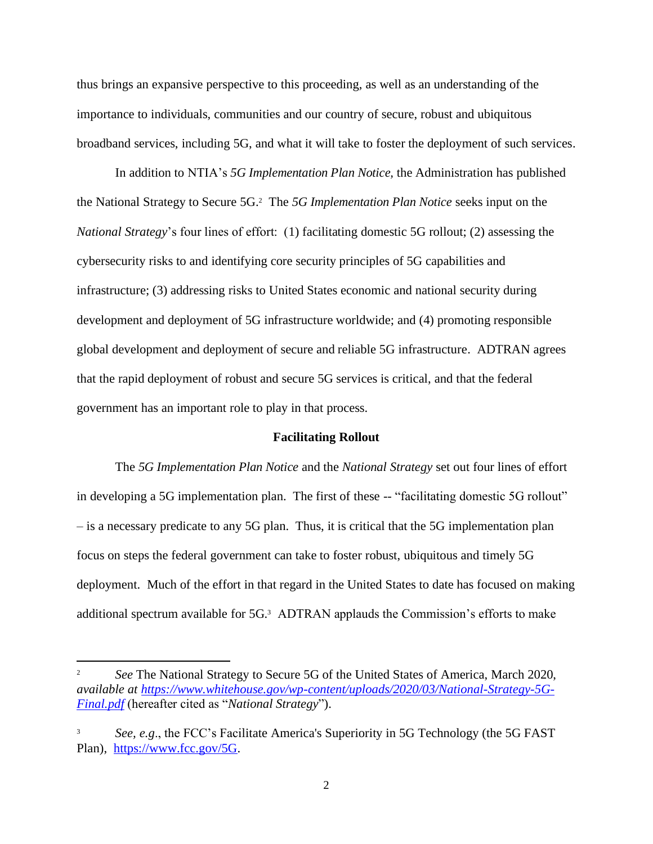thus brings an expansive perspective to this proceeding, as well as an understanding of the importance to individuals, communities and our country of secure, robust and ubiquitous broadband services, including 5G, and what it will take to foster the deployment of such services.

In addition to NTIA's *5G Implementation Plan Notice,* the Administration has published the National Strategy to Secure 5G.<sup>2</sup> The *5G Implementation Plan Notice* seeks input on the *National Strategy*'s four lines of effort: (1) facilitating domestic 5G rollout; (2) assessing the cybersecurity risks to and identifying core security principles of 5G capabilities and infrastructure; (3) addressing risks to United States economic and national security during development and deployment of 5G infrastructure worldwide; and (4) promoting responsible global development and deployment of secure and reliable 5G infrastructure. ADTRAN agrees that the rapid deployment of robust and secure 5G services is critical, and that the federal government has an important role to play in that process.

## **Facilitating Rollout**

The *5G Implementation Plan Notice* and the *National Strategy* set out four lines of effort in developing a 5G implementation plan. The first of these -- "facilitating domestic 5G rollout" – is a necessary predicate to any 5G plan. Thus, it is critical that the 5G implementation plan focus on steps the federal government can take to foster robust, ubiquitous and timely 5G deployment. Much of the effort in that regard in the United States to date has focused on making additional spectrum available for 5G.<sup>3</sup> ADTRAN applauds the Commission's efforts to make

<sup>2</sup> *See* The National Strategy to Secure 5G of the United States of America, March 2020, *available at [https://www.whitehouse.gov/wp-content/uploads/2020/03/National-Strategy-5G-](https://www.whitehouse.gov/wp-content/uploads/2020/03/National-Strategy-5G-Final.pdf)[Final.pdf](https://www.whitehouse.gov/wp-content/uploads/2020/03/National-Strategy-5G-Final.pdf)* (hereafter cited as "*National Strategy*").

<sup>3</sup> *See, e.g*., the FCC's Facilitate America's Superiority in 5G Technology (the 5G FAST Plan), [https://www.fcc.gov/5G.](https://www.fcc.gov/5G)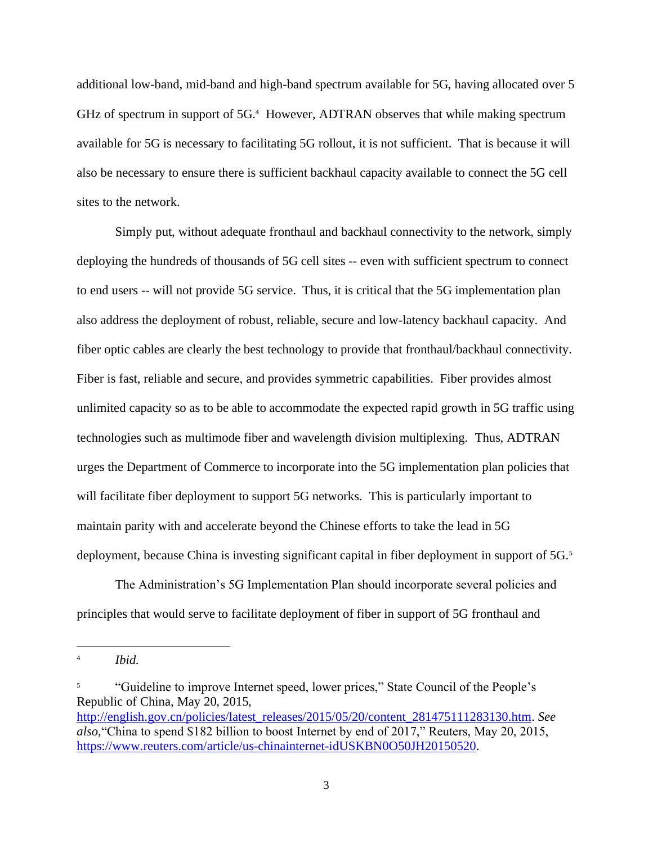additional low-band, mid-band and high-band spectrum available for 5G, having allocated over 5 GHz of spectrum in support of 5G.<sup>4</sup> However, ADTRAN observes that while making spectrum available for 5G is necessary to facilitating 5G rollout, it is not sufficient. That is because it will also be necessary to ensure there is sufficient backhaul capacity available to connect the 5G cell sites to the network.

Simply put, without adequate fronthaul and backhaul connectivity to the network, simply deploying the hundreds of thousands of 5G cell sites -- even with sufficient spectrum to connect to end users -- will not provide 5G service. Thus, it is critical that the 5G implementation plan also address the deployment of robust, reliable, secure and low-latency backhaul capacity. And fiber optic cables are clearly the best technology to provide that fronthaul/backhaul connectivity. Fiber is fast, reliable and secure, and provides symmetric capabilities. Fiber provides almost unlimited capacity so as to be able to accommodate the expected rapid growth in 5G traffic using technologies such as multimode fiber and wavelength division multiplexing. Thus, ADTRAN urges the Department of Commerce to incorporate into the 5G implementation plan policies that will facilitate fiber deployment to support 5G networks. This is particularly important to maintain parity with and accelerate beyond the Chinese efforts to take the lead in 5G deployment, because China is investing significant capital in fiber deployment in support of 5G.<sup>5</sup>

The Administration's 5G Implementation Plan should incorporate several policies and principles that would serve to facilitate deployment of fiber in support of 5G fronthaul and

<sup>4</sup> *Ibid.*

<sup>5</sup> "Guideline to improve Internet speed, lower prices," State Council of the People's Republic of China, May 20, 2015, [http://english.gov.cn/policies/latest\\_releases/2015/05/20/content\\_281475111283130.htm.](http://english.gov.cn/policies/latest_releases/2015/05/20/content_281475111283130.htm) *See also*,"China to spend \$182 billion to boost Internet by end of 2017," Reuters, May 20, 2015, [https://www.reuters.com/article/us-chinainternet-idUSKBN0O50JH20150520.](https://www.reuters.com/article/us-chinainternet-idUSKBN0O50JH20150520)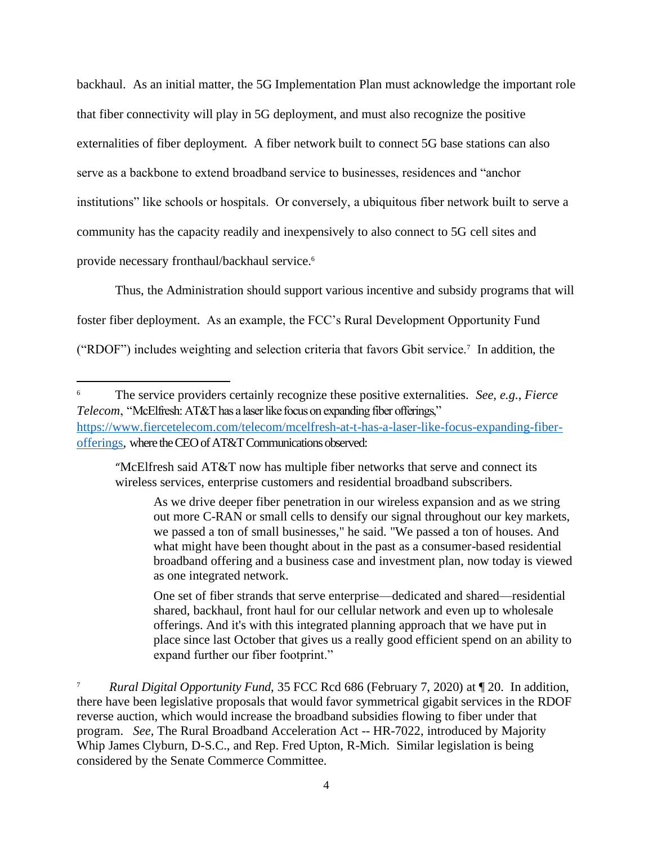backhaul. As an initial matter, the 5G Implementation Plan must acknowledge the important role that fiber connectivity will play in 5G deployment, and must also recognize the positive externalities of fiber deployment. A fiber network built to connect 5G base stations can also serve as a backbone to extend broadband service to businesses, residences and "anchor institutions" like schools or hospitals. Or conversely, a ubiquitous fiber network built to serve a community has the capacity readily and inexpensively to also connect to 5G cell sites and provide necessary fronthaul/backhaul service.<sup>6</sup>

Thus, the Administration should support various incentive and subsidy programs that will foster fiber deployment. As an example, the FCC's Rural Development Opportunity Fund ("RDOF") includes weighting and selection criteria that favors Gbit service.<sup>7</sup> In addition, the

"McElfresh said AT&T now has multiple fiber networks that serve and connect its wireless services, enterprise customers and residential broadband subscribers.

As we drive deeper fiber penetration in our wireless expansion and as we string out more C-RAN or small cells to densify our signal throughout our key markets, we passed a ton of small businesses," he said. "We passed a ton of houses. And what might have been thought about in the past as a consumer-based residential broadband offering and a business case and investment plan, now today is viewed as one integrated network.

One set of fiber strands that serve enterprise—dedicated and shared—residential shared, backhaul, front haul for our cellular network and even up to wholesale offerings. And it's with this integrated planning approach that we have put in place since last October that gives us a really good efficient spend on an ability to expand further our fiber footprint."

<sup>6</sup> The service providers certainly recognize these positive externalities. *See, e.g*., *Fierce Telecom*, "McElfresh: AT&T has a laser like focus on expanding fiber offerings," [https://www.fiercetelecom.com/telecom/mcelfresh-at-t-has-a-laser-like-focus-expanding-fiber](https://www.fiercetelecom.com/telecom/mcelfresh-at-t-has-a-laser-like-focus-expanding-fiber-offerings)[offerings,](https://www.fiercetelecom.com/telecom/mcelfresh-at-t-has-a-laser-like-focus-expanding-fiber-offerings) where the CEO of AT&T Communications observed:

<sup>7</sup> *Rural Digital Opportunity Fund*, 35 FCC Rcd 686 (February 7, 2020) at ¶ 20. In addition, there have been legislative proposals that would favor symmetrical gigabit services in the RDOF reverse auction, which would increase the broadband subsidies flowing to fiber under that program. *See,* The Rural Broadband Acceleration Act -- HR-7022, introduced by Majority Whip James Clyburn, D-S.C., and Rep. Fred Upton, R-Mich. Similar legislation is being considered by the Senate Commerce Committee.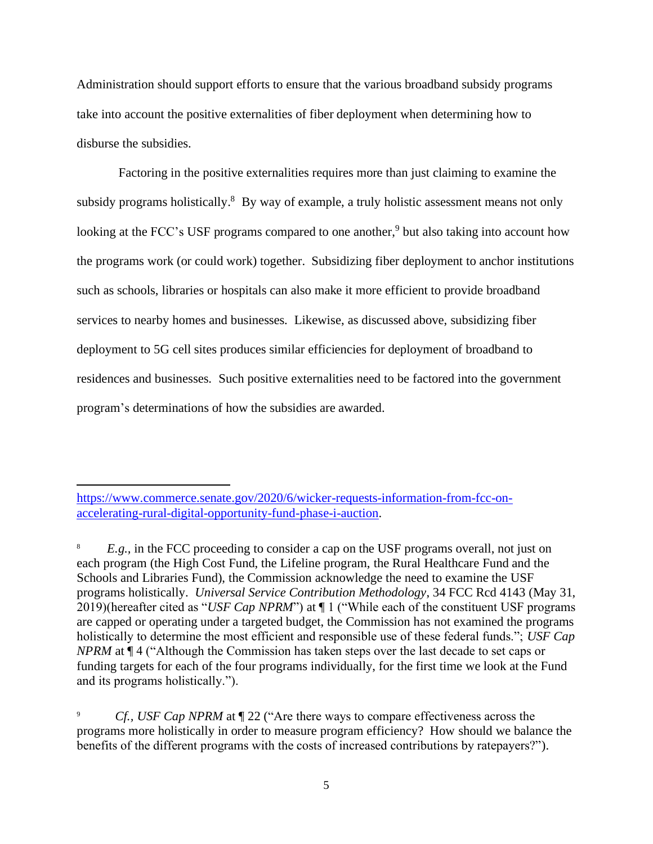Administration should support efforts to ensure that the various broadband subsidy programs take into account the positive externalities of fiber deployment when determining how to disburse the subsidies.

Factoring in the positive externalities requires more than just claiming to examine the subsidy programs holistically. $8$  By way of example, a truly holistic assessment means not only looking at the FCC's USF programs compared to one another,<sup>9</sup> but also taking into account how the programs work (or could work) together. Subsidizing fiber deployment to anchor institutions such as schools, libraries or hospitals can also make it more efficient to provide broadband services to nearby homes and businesses. Likewise, as discussed above, subsidizing fiber deployment to 5G cell sites produces similar efficiencies for deployment of broadband to residences and businesses. Such positive externalities need to be factored into the government program's determinations of how the subsidies are awarded.

[https://www.commerce.senate.gov/2020/6/wicker-requests-information-from-fcc-on](https://www.commerce.senate.gov/2020/6/wicker-requests-information-from-fcc-on-accelerating-rural-digital-opportunity-fund-phase-i-auction)[accelerating-rural-digital-opportunity-fund-phase-i-auction.](https://www.commerce.senate.gov/2020/6/wicker-requests-information-from-fcc-on-accelerating-rural-digital-opportunity-fund-phase-i-auction)

8 *E.g.,* in the FCC proceeding to consider a cap on the USF programs overall, not just on each program (the High Cost Fund, the Lifeline program, the Rural Healthcare Fund and the Schools and Libraries Fund), the Commission acknowledge the need to examine the USF programs holistically. *Universal Service Contribution Methodology*, 34 FCC Rcd 4143 (May 31, 2019)(hereafter cited as "*USF Cap NPRM*") at ¶ 1 ("While each of the constituent USF programs are capped or operating under a targeted budget, the Commission has not examined the programs holistically to determine the most efficient and responsible use of these federal funds."; *USF Cap NPRM* at ¶ 4 ("Although the Commission has taken steps over the last decade to set caps or funding targets for each of the four programs individually, for the first time we look at the Fund and its programs holistically.").

9 *Cf., USF Cap NPRM* at ¶ 22 ("Are there ways to compare effectiveness across the programs more holistically in order to measure program efficiency? How should we balance the benefits of the different programs with the costs of increased contributions by ratepayers?").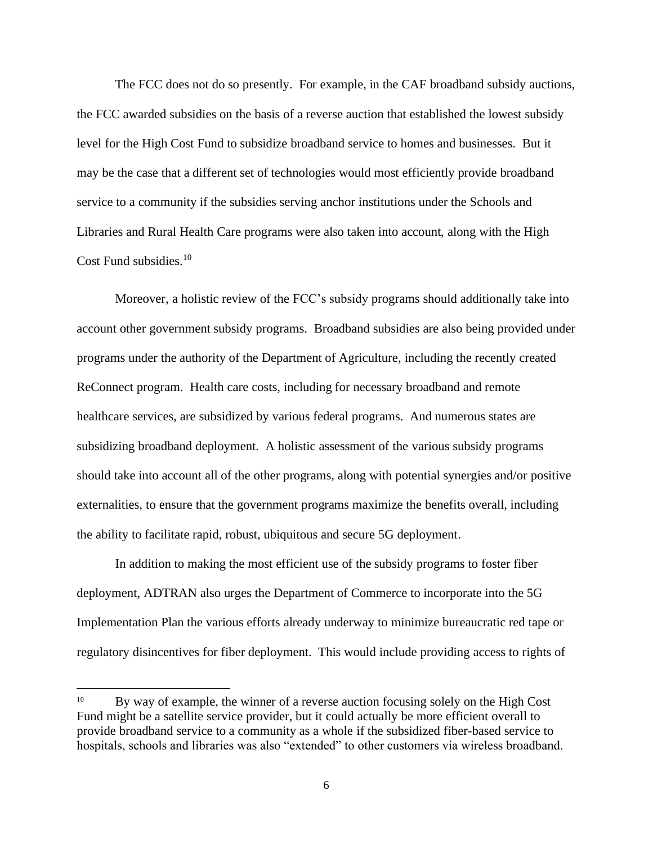The FCC does not do so presently. For example, in the CAF broadband subsidy auctions, the FCC awarded subsidies on the basis of a reverse auction that established the lowest subsidy level for the High Cost Fund to subsidize broadband service to homes and businesses. But it may be the case that a different set of technologies would most efficiently provide broadband service to a community if the subsidies serving anchor institutions under the Schools and Libraries and Rural Health Care programs were also taken into account, along with the High Cost Fund subsidies.<sup>10</sup>

Moreover, a holistic review of the FCC's subsidy programs should additionally take into account other government subsidy programs. Broadband subsidies are also being provided under programs under the authority of the Department of Agriculture, including the recently created ReConnect program. Health care costs, including for necessary broadband and remote healthcare services, are subsidized by various federal programs. And numerous states are subsidizing broadband deployment. A holistic assessment of the various subsidy programs should take into account all of the other programs, along with potential synergies and/or positive externalities, to ensure that the government programs maximize the benefits overall, including the ability to facilitate rapid, robust, ubiquitous and secure 5G deployment.

In addition to making the most efficient use of the subsidy programs to foster fiber deployment, ADTRAN also urges the Department of Commerce to incorporate into the 5G Implementation Plan the various efforts already underway to minimize bureaucratic red tape or regulatory disincentives for fiber deployment. This would include providing access to rights of

<sup>10</sup> By way of example, the winner of a reverse auction focusing solely on the High Cost Fund might be a satellite service provider, but it could actually be more efficient overall to provide broadband service to a community as a whole if the subsidized fiber-based service to hospitals, schools and libraries was also "extended" to other customers via wireless broadband.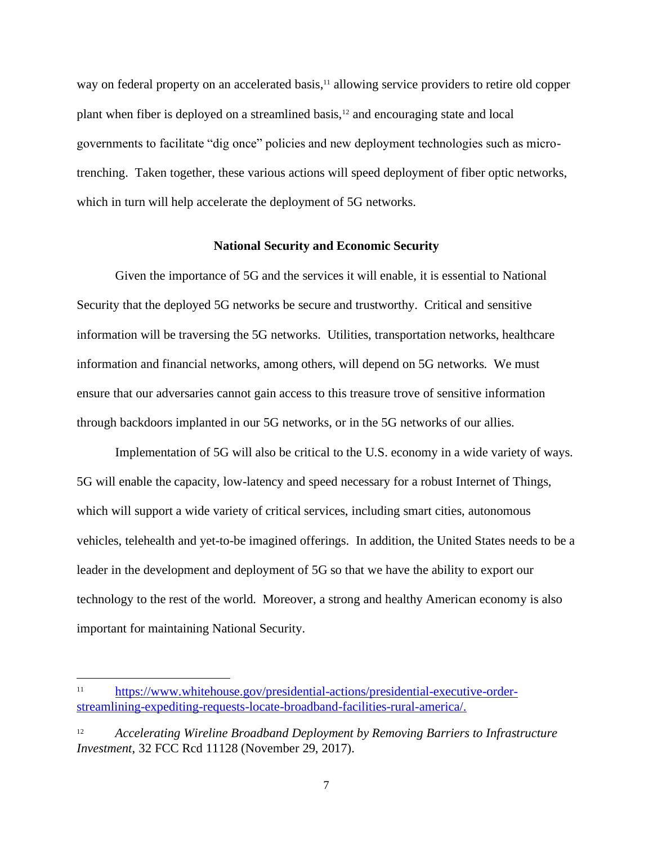way on federal property on an accelerated basis,<sup>11</sup> allowing service providers to retire old copper plant when fiber is deployed on a streamlined basis,<sup>12</sup> and encouraging state and local governments to facilitate "dig once" policies and new deployment technologies such as microtrenching. Taken together, these various actions will speed deployment of fiber optic networks, which in turn will help accelerate the deployment of 5G networks.

## **National Security and Economic Security**

Given the importance of 5G and the services it will enable, it is essential to National Security that the deployed 5G networks be secure and trustworthy. Critical and sensitive information will be traversing the 5G networks. Utilities, transportation networks, healthcare information and financial networks, among others, will depend on 5G networks. We must ensure that our adversaries cannot gain access to this treasure trove of sensitive information through backdoors implanted in our 5G networks, or in the 5G networks of our allies.

Implementation of 5G will also be critical to the U.S. economy in a wide variety of ways. 5G will enable the capacity, low-latency and speed necessary for a robust Internet of Things, which will support a wide variety of critical services, including smart cities, autonomous vehicles, telehealth and yet-to-be imagined offerings. In addition, the United States needs to be a leader in the development and deployment of 5G so that we have the ability to export our technology to the rest of the world. Moreover, a strong and healthy American economy is also important for maintaining National Security.

<sup>11</sup> [https://www.whitehouse.gov/presidential-actions/presidential-executive-order](https://www.whitehouse.gov/presidential-actions/presidential-executive-order-streamlining-expediting-requests-locate-broadband-facilities-rural-america/)[streamlining-expediting-requests-locate-broadband-facilities-rural-america/.](https://www.whitehouse.gov/presidential-actions/presidential-executive-order-streamlining-expediting-requests-locate-broadband-facilities-rural-america/)

<sup>12</sup> *Accelerating Wireline Broadband Deployment by Removing Barriers to Infrastructure Investment*, 32 FCC Rcd 11128 (November 29, 2017).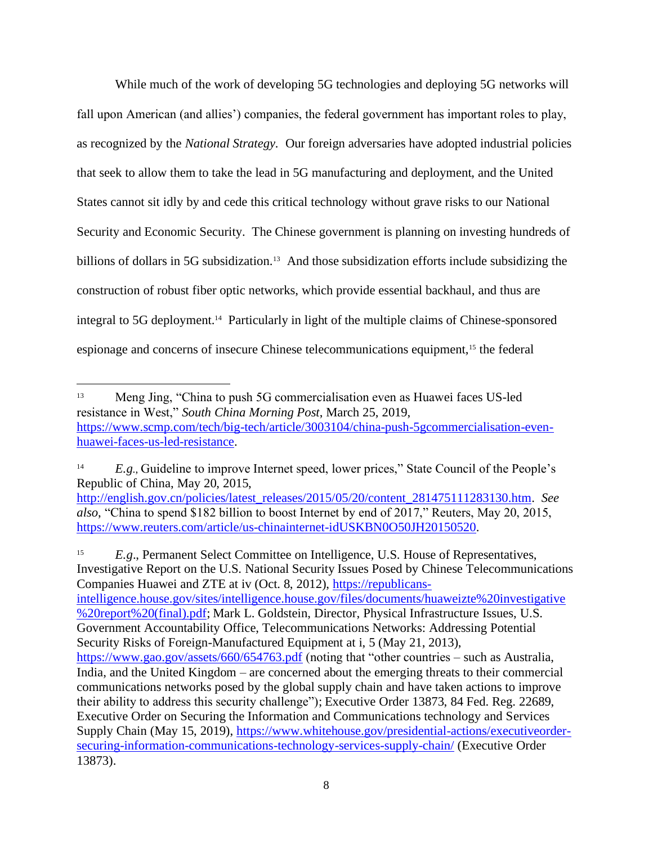While much of the work of developing 5G technologies and deploying 5G networks will fall upon American (and allies') companies, the federal government has important roles to play, as recognized by the *National Strategy.* Our foreign adversaries have adopted industrial policies that seek to allow them to take the lead in 5G manufacturing and deployment, and the United States cannot sit idly by and cede this critical technology without grave risks to our National Security and Economic Security. The Chinese government is planning on investing hundreds of billions of dollars in 5G subsidization.<sup>13</sup> And those subsidization efforts include subsidizing the construction of robust fiber optic networks, which provide essential backhaul, and thus are integral to 5G deployment.<sup>14</sup> Particularly in light of the multiple claims of Chinese-sponsored espionage and concerns of insecure Chinese telecommunications equipment,<sup>15</sup> the federal

15 *E.g*., Permanent Select Committee on Intelligence, U.S. House of Representatives, Investigative Report on the U.S. National Security Issues Posed by Chinese Telecommunications Companies Huawei and ZTE at iv (Oct. 8, 2012), [https://republicans](https://republicans-intelligence.house.gov/sites/intelligence.house.gov/files/documents/huaweizte%20investigative%20report%20(final).pdf)[intelligence.house.gov/sites/intelligence.house.gov/files/documents/huaweizte%20investigative](https://republicans-intelligence.house.gov/sites/intelligence.house.gov/files/documents/huaweizte%20investigative%20report%20(final).pdf) [%20report%20\(final\).pdf;](https://republicans-intelligence.house.gov/sites/intelligence.house.gov/files/documents/huaweizte%20investigative%20report%20(final).pdf) Mark L. Goldstein, Director, Physical Infrastructure Issues, U.S. Government Accountability Office, Telecommunications Networks: Addressing Potential Security Risks of Foreign-Manufactured Equipment at i, 5 (May 21, 2013), <https://www.gao.gov/assets/660/654763.pdf> (noting that "other countries – such as Australia, India, and the United Kingdom – are concerned about the emerging threats to their commercial communications networks posed by the global supply chain and have taken actions to improve their ability to address this security challenge"); Executive Order 13873, 84 Fed. Reg. 22689, Executive Order on Securing the Information and Communications technology and Services Supply Chain (May 15, 2019), [https://www.whitehouse.gov/presidential-actions/executiveorder](https://www.whitehouse.gov/presidential-actions/executiveorder-securing-information-communications-technology-services-supply-chain/)[securing-information-communications-technology-services-supply-chain/](https://www.whitehouse.gov/presidential-actions/executiveorder-securing-information-communications-technology-services-supply-chain/) (Executive Order 13873).

<sup>13</sup> Meng Jing, "China to push 5G commercialisation even as Huawei faces US-led resistance in West," *South China Morning Post*, March 25, 2019, [https://www.scmp.com/tech/big-tech/article/3003104/china-push-5gcommercialisation-even](https://www.scmp.com/tech/big-tech/article/3003104/china-push-5gcommercialisation-even-huawei-faces-us-led-resistance)[huawei-faces-us-led-resistance.](https://www.scmp.com/tech/big-tech/article/3003104/china-push-5gcommercialisation-even-huawei-faces-us-led-resistance)

<sup>14</sup> *E.g*., Guideline to improve Internet speed, lower prices," State Council of the People's Republic of China, May 20, 2015,

[http://english.gov.cn/policies/latest\\_releases/2015/05/20/content\\_281475111283130.htm.](http://english.gov.cn/policies/latest_releases/2015/05/20/content_281475111283130.htm) *See also*, "China to spend \$182 billion to boost Internet by end of 2017," Reuters, May 20, 2015, [https://www.reuters.com/article/us-chinainternet-idUSKBN0O50JH20150520.](https://www.reuters.com/article/us-chinainternet-idUSKBN0O50JH20150520)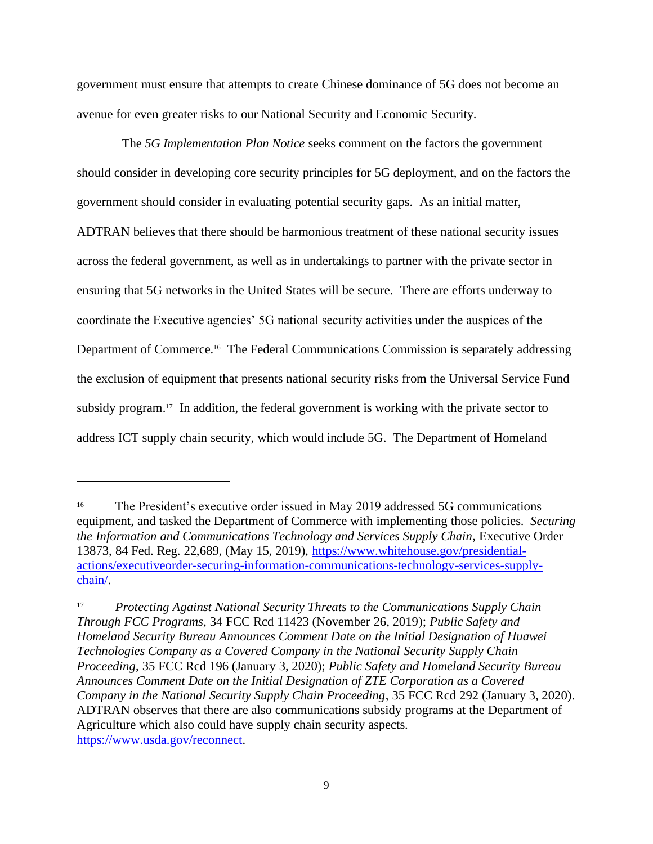government must ensure that attempts to create Chinese dominance of 5G does not become an avenue for even greater risks to our National Security and Economic Security.

The *5G Implementation Plan Notice* seeks comment on the factors the government should consider in developing core security principles for 5G deployment, and on the factors the government should consider in evaluating potential security gaps. As an initial matter, ADTRAN believes that there should be harmonious treatment of these national security issues across the federal government, as well as in undertakings to partner with the private sector in ensuring that 5G networks in the United States will be secure. There are efforts underway to coordinate the Executive agencies' 5G national security activities under the auspices of the Department of Commerce.<sup>16</sup> The Federal Communications Commission is separately addressing the exclusion of equipment that presents national security risks from the Universal Service Fund subsidy program.<sup>17</sup> In addition, the federal government is working with the private sector to address ICT supply chain security, which would include 5G. The Department of Homeland

<sup>16</sup> The President's executive order issued in May 2019 addressed 5G communications equipment, and tasked the Department of Commerce with implementing those policies. *Securing the Information and Communications Technology and Services Supply Chain*, Executive Order 13873, 84 Fed. Reg. 22,689, (May 15, 2019), [https://www.whitehouse.gov/presidential](https://www.whitehouse.gov/presidential-actions/executiveorder-securing-information-communications-technology-services-supply-chain/)[actions/executiveorder-securing-information-communications-technology-services-supply](https://www.whitehouse.gov/presidential-actions/executiveorder-securing-information-communications-technology-services-supply-chain/)[chain/.](https://www.whitehouse.gov/presidential-actions/executiveorder-securing-information-communications-technology-services-supply-chain/)

<sup>17</sup> *Protecting Against National Security Threats to the Communications Supply Chain Through FCC Programs*, 34 FCC Rcd 11423 (November 26, 2019); *Public Safety and Homeland Security Bureau Announces Comment Date on the Initial Designation of Huawei Technologies Company as a Covered Company in the National Security Supply Chain Proceeding*, 35 FCC Rcd 196 (January 3, 2020); *Public Safety and Homeland Security Bureau Announces Comment Date on the Initial Designation of ZTE Corporation as a Covered Company in the National Security Supply Chain Proceeding*, 35 FCC Rcd 292 (January 3, 2020). ADTRAN observes that there are also communications subsidy programs at the Department of Agriculture which also could have supply chain security aspects. [https://www.usda.gov/reconnect.](https://www.usda.gov/reconnect)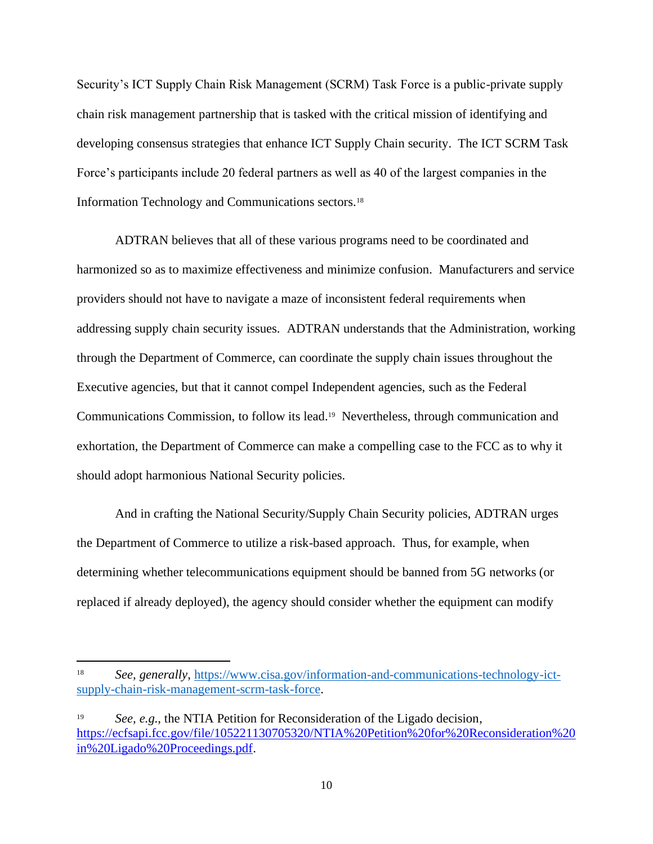Security's ICT Supply Chain Risk Management (SCRM) Task Force is a public-private supply chain risk management partnership that is tasked with the critical mission of identifying and developing consensus strategies that enhance ICT Supply Chain security. The ICT SCRM Task Force's participants include 20 federal partners as well as 40 of the largest companies in the Information Technology and Communications sectors.<sup>18</sup>

ADTRAN believes that all of these various programs need to be coordinated and harmonized so as to maximize effectiveness and minimize confusion. Manufacturers and service providers should not have to navigate a maze of inconsistent federal requirements when addressing supply chain security issues. ADTRAN understands that the Administration, working through the Department of Commerce, can coordinate the supply chain issues throughout the Executive agencies, but that it cannot compel Independent agencies, such as the Federal Communications Commission, to follow its lead.<sup>19</sup> Nevertheless, through communication and exhortation, the Department of Commerce can make a compelling case to the FCC as to why it should adopt harmonious National Security policies.

And in crafting the National Security/Supply Chain Security policies, ADTRAN urges the Department of Commerce to utilize a risk-based approach. Thus, for example, when determining whether telecommunications equipment should be banned from 5G networks (or replaced if already deployed), the agency should consider whether the equipment can modify

<sup>18</sup> *See, generally*, [https://www.cisa.gov/information-and-communications-technology-ict](https://www.cisa.gov/information-and-communications-technology-ict-supply-chain-risk-management-scrm-task-force)[supply-chain-risk-management-scrm-task-force.](https://www.cisa.gov/information-and-communications-technology-ict-supply-chain-risk-management-scrm-task-force)

<sup>&</sup>lt;sup>19</sup> *See, e.g.,* the NTIA Petition for Reconsideration of the Ligado decision, [https://ecfsapi.fcc.gov/file/105221130705320/NTIA%20Petition%20for%20Reconsideration%20](https://ecfsapi.fcc.gov/file/105221130705320/NTIA%20Petition%20for%20Reconsideration%20in%20Ligado%20Proceedings.pdf) [in%20Ligado%20Proceedings.pdf.](https://ecfsapi.fcc.gov/file/105221130705320/NTIA%20Petition%20for%20Reconsideration%20in%20Ligado%20Proceedings.pdf)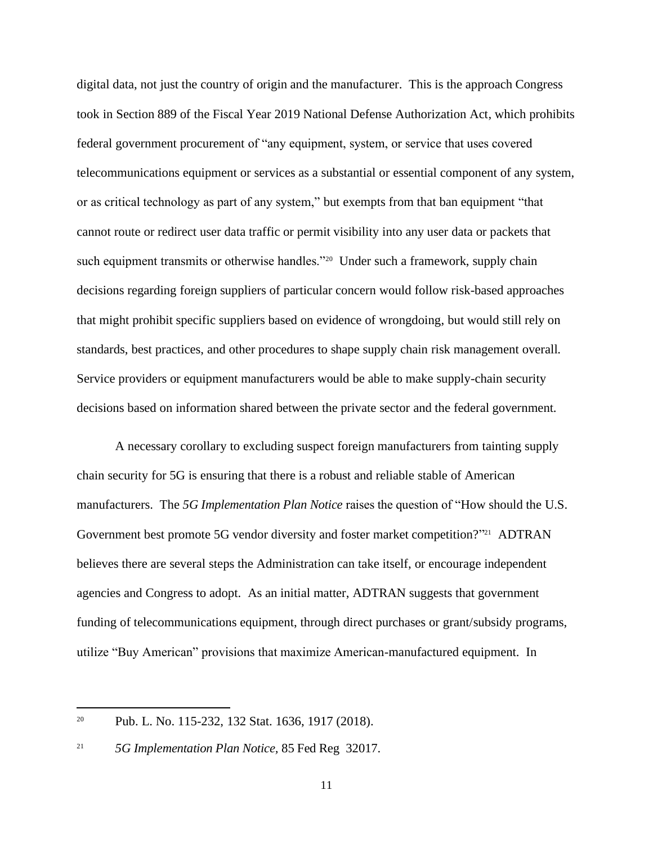digital data, not just the country of origin and the manufacturer. This is the approach Congress took in Section 889 of the Fiscal Year 2019 National Defense Authorization Act, which prohibits federal government procurement of "any equipment, system, or service that uses covered telecommunications equipment or services as a substantial or essential component of any system, or as critical technology as part of any system," but exempts from that ban equipment "that cannot route or redirect user data traffic or permit visibility into any user data or packets that such equipment transmits or otherwise handles."<sup>20</sup> Under such a framework, supply chain decisions regarding foreign suppliers of particular concern would follow risk-based approaches that might prohibit specific suppliers based on evidence of wrongdoing, but would still rely on standards, best practices, and other procedures to shape supply chain risk management overall. Service providers or equipment manufacturers would be able to make supply-chain security decisions based on information shared between the private sector and the federal government.

A necessary corollary to excluding suspect foreign manufacturers from tainting supply chain security for 5G is ensuring that there is a robust and reliable stable of American manufacturers. The *5G Implementation Plan Notice* raises the question of "How should the U.S. Government best promote 5G vendor diversity and foster market competition?"<sup>21</sup> ADTRAN believes there are several steps the Administration can take itself, or encourage independent agencies and Congress to adopt. As an initial matter, ADTRAN suggests that government funding of telecommunications equipment, through direct purchases or grant/subsidy programs, utilize "Buy American" provisions that maximize American-manufactured equipment. In

<sup>20</sup> Pub. L. No. 115-232, 132 Stat. 1636, 1917 (2018).

<sup>21</sup> *5G Implementation Plan Notice,* 85 Fed Reg 32017.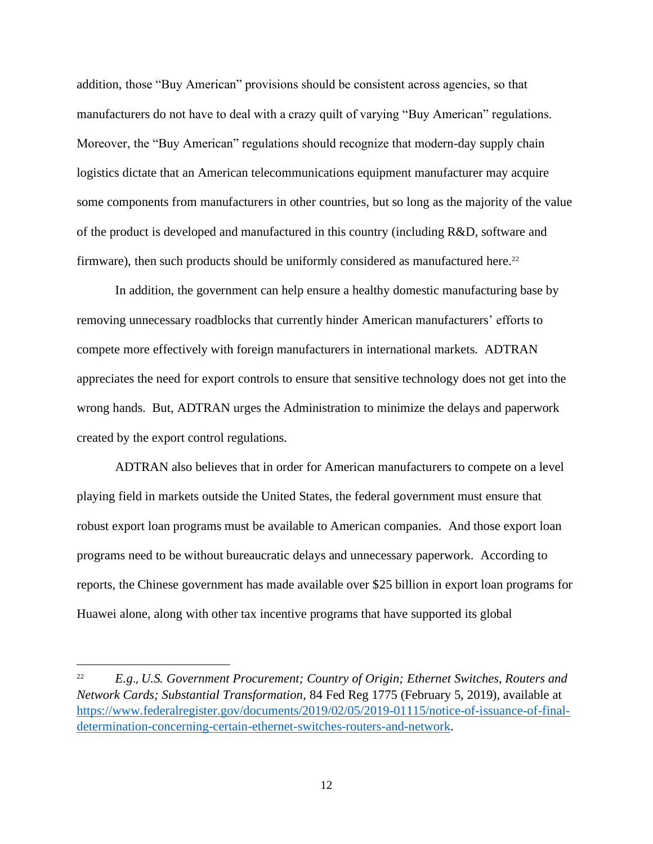addition, those "Buy American" provisions should be consistent across agencies, so that manufacturers do not have to deal with a crazy quilt of varying "Buy American" regulations. Moreover, the "Buy American" regulations should recognize that modern-day supply chain logistics dictate that an American telecommunications equipment manufacturer may acquire some components from manufacturers in other countries, but so long as the majority of the value of the product is developed and manufactured in this country (including R&D, software and firmware), then such products should be uniformly considered as manufactured here.<sup>22</sup>

In addition, the government can help ensure a healthy domestic manufacturing base by removing unnecessary roadblocks that currently hinder American manufacturers' efforts to compete more effectively with foreign manufacturers in international markets. ADTRAN appreciates the need for export controls to ensure that sensitive technology does not get into the wrong hands. But, ADTRAN urges the Administration to minimize the delays and paperwork created by the export control regulations.

ADTRAN also believes that in order for American manufacturers to compete on a level playing field in markets outside the United States, the federal government must ensure that robust export loan programs must be available to American companies. And those export loan programs need to be without bureaucratic delays and unnecessary paperwork. According to reports, the Chinese government has made available over \$25 billion in export loan programs for Huawei alone, along with other tax incentive programs that have supported its global

<sup>22</sup> *E.g*., *U.S. Government Procurement; Country of Origin; Ethernet Switches, Routers and Network Cards; Substantial Transformation*, 84 Fed Reg 1775 (February 5, 2019), available at [https://www.federalregister.gov/documents/2019/02/05/2019-01115/notice-of-issuance-of-final](https://www.federalregister.gov/documents/2019/02/05/2019-01115/notice-of-issuance-of-final-determination-concerning-certain-ethernet-switches-routers-and-network)[determination-concerning-certain-ethernet-switches-routers-and-network.](https://www.federalregister.gov/documents/2019/02/05/2019-01115/notice-of-issuance-of-final-determination-concerning-certain-ethernet-switches-routers-and-network)